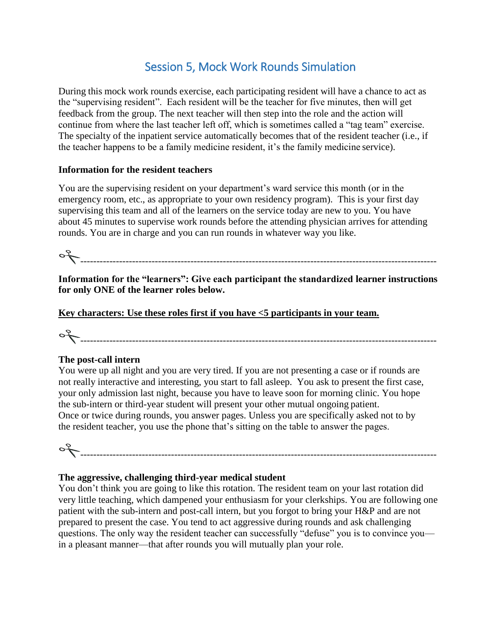## Session 5, Mock Work Rounds Simulation

During this mock work rounds exercise, each participating resident will have a chance to act as the "supervising resident". Each resident will be the teacher for five minutes, then will get feedback from the group. The next teacher will then step into the role and the action will continue from where the last teacher left off, which is sometimes called a "tag team" exercise. The specialty of the inpatient service automatically becomes that of the resident teacher (i.e., if the teacher happens to be a family medicine resident, it's the family medicine service).

#### **Information for the resident teachers**

You are the supervising resident on your department's ward service this month (or in the emergency room, etc., as appropriate to your own residency program). This is your first day supervising this team and all of the learners on the service today are new to you. You have about 45 minutes to supervise work rounds before the attending physician arrives for attending rounds. You are in charge and you can run rounds in whatever way you like.

--------------------------------------------------------------------------------------------------------------

**Information for the "learners": Give each participant the standardized learner instructions for only ONE of the learner roles below.**

**Key characters: Use these roles first if you have <5 participants in your team.**

--------------------------------------------------------------------------------------------------------------

#### **The post-call intern**

You were up all night and you are very tired. If you are not presenting a case or if rounds are not really interactive and interesting, you start to fall asleep. You ask to present the first case, your only admission last night, because you have to leave soon for morning clinic. You hope the sub-intern or third-year student will present your other mutual ongoing patient. Once or twice during rounds, you answer pages. Unless you are specifically asked not to by the resident teacher, you use the phone that's sitting on the table to answer the pages.

--------------------------------------------------------------------------------------------------------------

#### **The aggressive, challenging third-year medical student**

You don't think you are going to like this rotation. The resident team on your last rotation did very little teaching, which dampened your enthusiasm for your clerkships. You are following one patient with the sub-intern and post-call intern, but you forgot to bring your H&P and are not prepared to present the case. You tend to act aggressive during rounds and ask challenging questions. The only way the resident teacher can successfully "defuse" you is to convince you in a pleasant manner—that after rounds you will mutually plan your role.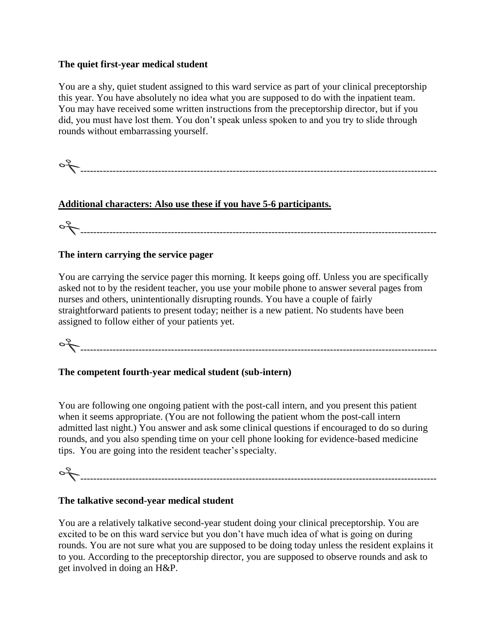#### **The quiet first-year medical student**

You are a shy, quiet student assigned to this ward service as part of your clinical preceptorship this year. You have absolutely no idea what you are supposed to do with the inpatient team. You may have received some written instructions from the preceptorship director, but if you did, you must have lost them. You don't speak unless spoken to and you try to slide through rounds without embarrassing yourself.

--------------------------------------------------------------------------------------------------------------

### **Additional characters: Also use these if you have 5-6 participants.**

--------------------------------------------------------------------------------------------------------------

#### **The intern carrying the service pager**

You are carrying the service pager this morning. It keeps going off. Unless you are specifically asked not to by the resident teacher, you use your mobile phone to answer several pages from nurses and others, unintentionally disrupting rounds. You have a couple of fairly straightforward patients to present today; neither is a new patient. No students have been assigned to follow either of your patients yet.

--------------------------------------------------------------------------------------------------------------

#### **The competent fourth-year medical student (sub-intern)**

You are following one ongoing patient with the post-call intern, and you present this patient when it seems appropriate. (You are not following the patient whom the post-call intern admitted last night.) You answer and ask some clinical questions if encouraged to do so during rounds, and you also spending time on your cell phone looking for evidence-based medicine tips. You are going into the resident teacher'sspecialty.

--------------------------------------------------------------------------------------------------------------

#### **The talkative second-year medical student**

You are a relatively talkative second-year student doing your clinical preceptorship. You are excited to be on this ward service but you don't have much idea of what is going on during rounds. You are not sure what you are supposed to be doing today unless the resident explains it to you. According to the preceptorship director, you are supposed to observe rounds and ask to get involved in doing an H&P.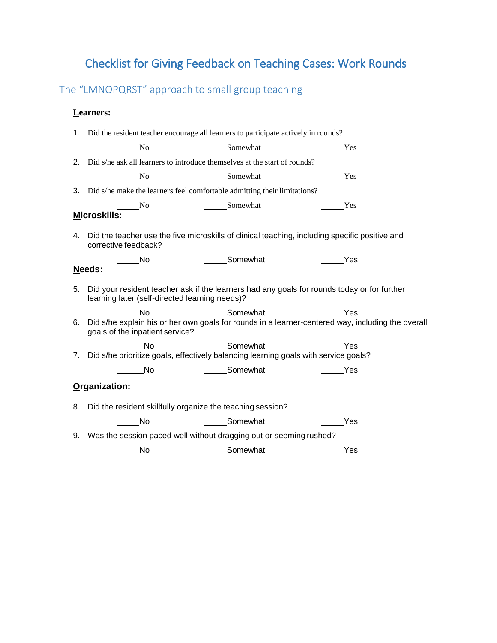# Checklist for Giving Feedback on Teaching Cases: Work Rounds

The "LMNOPQRST" approach to small group teaching

#### **Learners:**

|                                                                                                                                                  | 1. Did the resident teacher encourage all learners to participate actively in rounds?                |     |  |  |  |  |  |  |
|--------------------------------------------------------------------------------------------------------------------------------------------------|------------------------------------------------------------------------------------------------------|-----|--|--|--|--|--|--|
| Somewhat<br>N <sub>0</sub>                                                                                                                       |                                                                                                      | Yes |  |  |  |  |  |  |
| 2. Did s/he ask all learners to introduce themselves at the start of rounds?                                                                     |                                                                                                      |     |  |  |  |  |  |  |
| Somewhat<br>No.                                                                                                                                  | <u>Nes</u>                                                                                           |     |  |  |  |  |  |  |
| 3. Did s/he make the learners feel comfortable admitting their limitations?                                                                      |                                                                                                      |     |  |  |  |  |  |  |
| Somewhat<br>$\rule{1em}{0.15mm}$ No                                                                                                              | Yes                                                                                                  |     |  |  |  |  |  |  |
| Microskills:                                                                                                                                     |                                                                                                      |     |  |  |  |  |  |  |
| 4. Did the teacher use the five microskills of clinical teaching, including specific positive and<br>corrective feedback?                        |                                                                                                      |     |  |  |  |  |  |  |
| ______Somewhat<br>$\rule{1em}{0.15mm}$ No                                                                                                        |                                                                                                      | Yes |  |  |  |  |  |  |
| Needs:                                                                                                                                           |                                                                                                      |     |  |  |  |  |  |  |
| 5. Did your resident teacher ask if the learners had any goals for rounds today or for further<br>learning later (self-directed learning needs)? |                                                                                                      |     |  |  |  |  |  |  |
| <b>No</b>                                                                                                                                        | _______Somewhat _________________Yes                                                                 |     |  |  |  |  |  |  |
| goals of the inpatient service?                                                                                                                  | 6. Did s/he explain his or her own goals for rounds in a learner-centered way, including the overall |     |  |  |  |  |  |  |
| Somewhat<br><b>No</b>                                                                                                                            | <u>New Yes</u>                                                                                       |     |  |  |  |  |  |  |
|                                                                                                                                                  | 7. Did s/he prioritize goals, effectively balancing learning goals with service goals?               |     |  |  |  |  |  |  |
| <b>Somewhat</b><br><b>Single Street</b> No                                                                                                       | <b>Paradox</b> Yes                                                                                   |     |  |  |  |  |  |  |
| Organization:                                                                                                                                    |                                                                                                      |     |  |  |  |  |  |  |
|                                                                                                                                                  | 8. Did the resident skillfully organize the teaching session?                                        |     |  |  |  |  |  |  |
| No No Comewhat No Nes                                                                                                                            |                                                                                                      |     |  |  |  |  |  |  |
|                                                                                                                                                  | 9. Was the session paced well without dragging out or seeming rushed?                                |     |  |  |  |  |  |  |
| Somewhat<br>No                                                                                                                                   |                                                                                                      | Yes |  |  |  |  |  |  |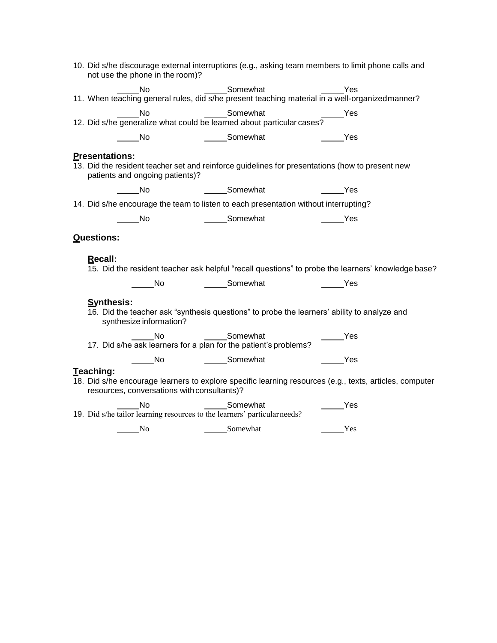| 10. Did s/he discourage external interruptions (e.g., asking team members to limit phone calls and<br>not use the phone in the room)?       |                                    |                                                                                                         |  |  |  |  |  |
|---------------------------------------------------------------------------------------------------------------------------------------------|------------------------------------|---------------------------------------------------------------------------------------------------------|--|--|--|--|--|
|                                                                                                                                             |                                    |                                                                                                         |  |  |  |  |  |
|                                                                                                                                             |                                    |                                                                                                         |  |  |  |  |  |
|                                                                                                                                             |                                    |                                                                                                         |  |  |  |  |  |
| in No                                                                                                                                       | Somewhat                           | <b>Paradox</b> Yes                                                                                      |  |  |  |  |  |
| <b>Presentations:</b><br>patients and ongoing patients)?                                                                                    |                                    | 13. Did the resident teacher set and reinforce guidelines for presentations (how to present new         |  |  |  |  |  |
| No                                                                                                                                          | Somewhat                           | $\frac{1}{\sqrt{1-\frac{1}{2}}}$ Yes                                                                    |  |  |  |  |  |
| 14. Did s/he encourage the team to listen to each presentation without interrupting?                                                        |                                    |                                                                                                         |  |  |  |  |  |
| <b>No.</b>                                                                                                                                  | Somewhat                           | <b>Example ST</b>                                                                                       |  |  |  |  |  |
| <b>Questions:</b>                                                                                                                           |                                    |                                                                                                         |  |  |  |  |  |
| Recall:                                                                                                                                     |                                    | 15. Did the resident teacher ask helpful "recall questions" to probe the learners' knowledge base?      |  |  |  |  |  |
|                                                                                                                                             | No Somewhat Ness                   |                                                                                                         |  |  |  |  |  |
| <b>Synthesis:</b><br>16. Did the teacher ask "synthesis questions" to probe the learners' ability to analyze and<br>synthesize information? |                                    |                                                                                                         |  |  |  |  |  |
| No<br>17. Did s/he ask learners for a plan for the patient's problems?                                                                      | Somewhat                           | $\rule{1em}{0.15mm}$ Yes                                                                                |  |  |  |  |  |
| $\frac{1}{\sqrt{1-\frac{1}{2}}}$ No                                                                                                         | ______Somewhat ________________Yes |                                                                                                         |  |  |  |  |  |
| Teaching:<br>resources, conversations with consultants)?                                                                                    |                                    | 18. Did s/he encourage learners to explore specific learning resources (e.g., texts, articles, computer |  |  |  |  |  |
| <b>No</b><br>19. Did s/he tailor learning resources to the learners' particular needs?                                                      | Somewhat                           | Yes                                                                                                     |  |  |  |  |  |
| No.                                                                                                                                         | Somewhat                           | Yes                                                                                                     |  |  |  |  |  |